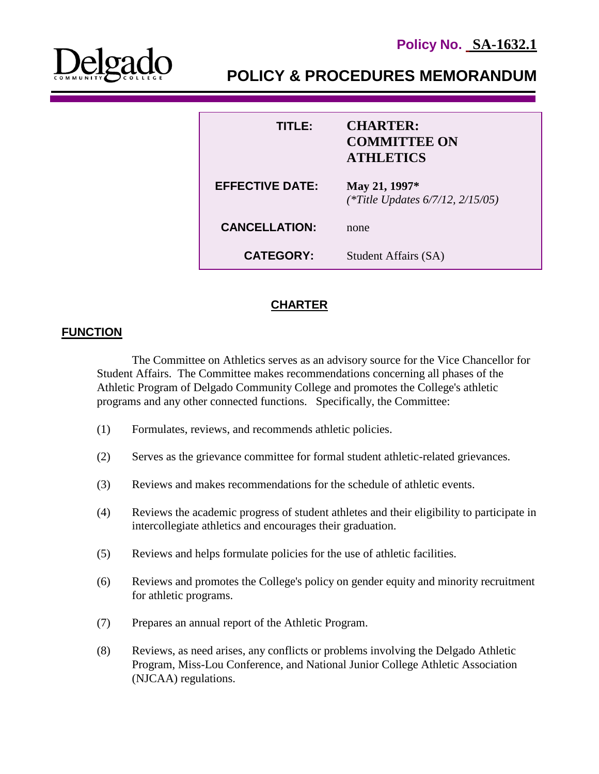

**POLICY & PROCEDURES MEMORANDUM**

| TITLE:                 | <b>CHARTER:</b><br><b>COMMITTEE ON</b><br><b>ATHLETICS</b> |
|------------------------|------------------------------------------------------------|
| <b>EFFECTIVE DATE:</b> | May 21, 1997*<br>(*Title Updates $6/7/12$ , $2/15/05$ )    |
| <b>CANCELLATION:</b>   | none                                                       |
| <b>CATEGORY:</b>       | Student Affairs (SA)                                       |

# **CHARTER**

## **FUNCTION**

The Committee on Athletics serves as an advisory source for the Vice Chancellor for Student Affairs. The Committee makes recommendations concerning all phases of the Athletic Program of Delgado Community College and promotes the College's athletic programs and any other connected functions. Specifically, the Committee:

- (1) Formulates, reviews, and recommends athletic policies.
- (2) Serves as the grievance committee for formal student athletic-related grievances.
- (3) Reviews and makes recommendations for the schedule of athletic events.
- (4) Reviews the academic progress of student athletes and their eligibility to participate in intercollegiate athletics and encourages their graduation.
- (5) Reviews and helps formulate policies for the use of athletic facilities.
- (6) Reviews and promotes the College's policy on gender equity and minority recruitment for athletic programs.
- (7) Prepares an annual report of the Athletic Program.
- (8) Reviews, as need arises, any conflicts or problems involving the Delgado Athletic Program, Miss-Lou Conference, and National Junior College Athletic Association (NJCAA) regulations.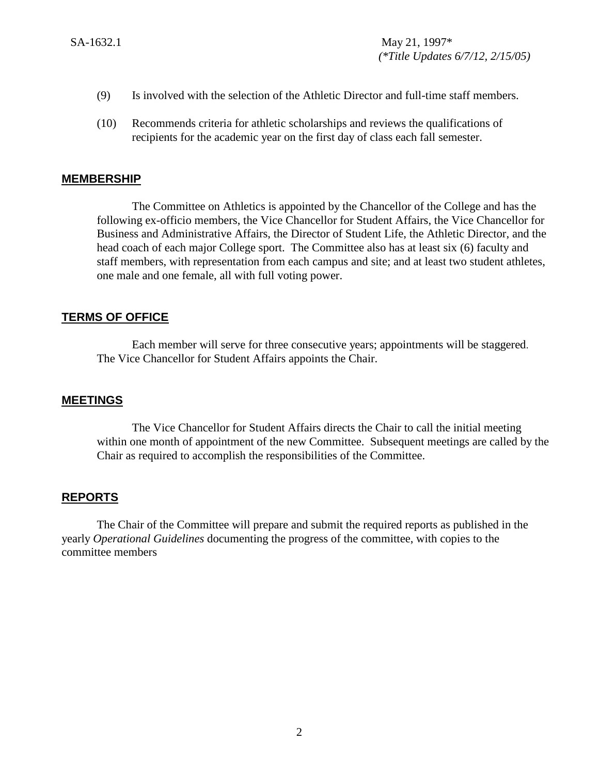- (9) Is involved with the selection of the Athletic Director and full-time staff members.
- (10) Recommends criteria for athletic scholarships and reviews the qualifications of recipients for the academic year on the first day of class each fall semester.

#### **MEMBERSHIP**

The Committee on Athletics is appointed by the Chancellor of the College and has the following ex-officio members, the Vice Chancellor for Student Affairs, the Vice Chancellor for Business and Administrative Affairs, the Director of Student Life, the Athletic Director, and the head coach of each major College sport. The Committee also has at least six (6) faculty and staff members, with representation from each campus and site; and at least two student athletes, one male and one female, all with full voting power.

#### **TERMS OF OFFICE**

Each member will serve for three consecutive years; appointments will be staggered. The Vice Chancellor for Student Affairs appoints the Chair.

## **MEETINGS**

The Vice Chancellor for Student Affairs directs the Chair to call the initial meeting within one month of appointment of the new Committee. Subsequent meetings are called by the Chair as required to accomplish the responsibilities of the Committee.

#### **REPORTS**

The Chair of the Committee will prepare and submit the required reports as published in the yearly *Operational Guidelines* documenting the progress of the committee, with copies to the committee members